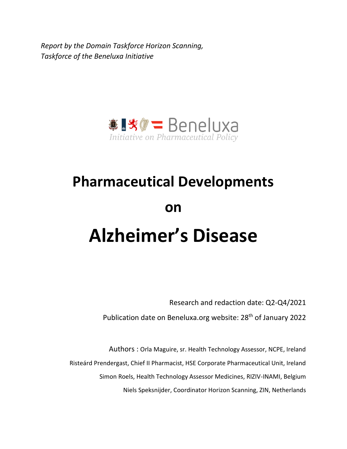*Report by the Domain Taskforce Horizon Scanning, Taskforce of the Beneluxa Initiative*



# **Pharmaceutical Developments on Alzheimer's Disease**

Research and redaction date: Q2-Q4/2021

Publication date on Beneluxa.org website: 28<sup>th</sup> of January 2022

Authors : Orla Maguire, sr. Health Technology Assessor, NCPE, Ireland Risteárd Prendergast, Chief II Pharmacist, HSE Corporate Pharmaceutical Unit, Ireland Simon Roels, Health Technology Assessor Medicines, RIZIV-INAMI, Belgium Niels Speksnijder, Coordinator Horizon Scanning, ZIN, Netherlands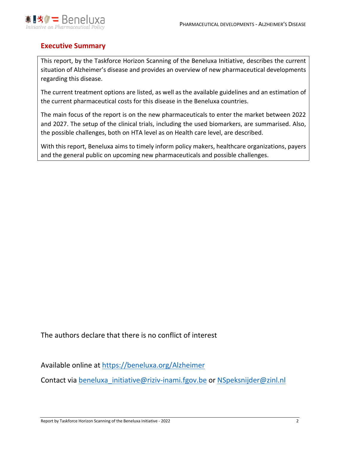

# **Executive Summary**

This report, by the Taskforce Horizon Scanning of the Beneluxa Initiative, describes the current situation of Alzheimer's disease and provides an overview of new pharmaceutical developments regarding this disease.

The current treatment options are listed, as well as the available guidelines and an estimation of the current pharmaceutical costs for this disease in the Beneluxa countries.

The main focus of the report is on the new pharmaceuticals to enter the market between 2022 and 2027. The setup of the clinical trials, including the used biomarkers, are summarised. Also, the possible challenges, both on HTA level as on Health care level, are described.

With this report, Beneluxa aims to timely inform policy makers, healthcare organizations, payers and the general public on upcoming new pharmaceuticals and possible challenges.

The authors declare that there is no conflict of interest

Available online at<https://beneluxa.org/Alzheimer>

Contact via beneluxa initiative@riziv-inami.fgov.be or [NSpeksnijder@zinl.nl](mailto:NSpeksnijder@zinl.nl)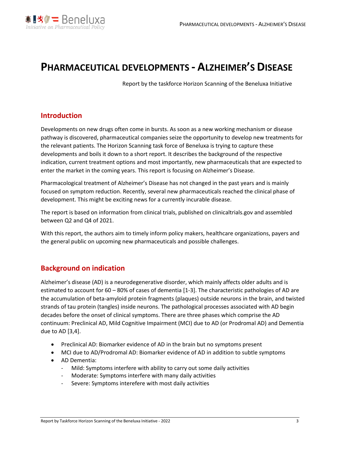

# **PHARMACEUTICAL DEVELOPMENTS - ALZHEIMER'S DISEASE**

Report by the taskforce Horizon Scanning of the Beneluxa Initiative

# **Introduction**

Developments on new drugs often come in bursts. As soon as a new working mechanism or disease pathway is discovered, pharmaceutical companies seize the opportunity to develop new treatments for the relevant patients. The Horizon Scanning task force of Beneluxa is trying to capture these developments and boils it down to a short report. It describes the background of the respective indication, current treatment options and most importantly, new pharmaceuticals that are expected to enter the market in the coming years. This report is focusing on Alzheimer's Disease.

Pharmacological treatment of Alzheimer's Disease has not changed in the past years and is mainly focused on symptom reduction. Recently, several new pharmaceuticals reached the clinical phase of development. This might be exciting news for a currently incurable disease.

The report is based on information from clinical trials, published on clinicaltrials.gov and assembled between Q2 and Q4 of 2021.

With this report, the authors aim to timely inform policy makers, healthcare organizations, payers and the general public on upcoming new pharmaceuticals and possible challenges.

## **Background on indication**

Alzheimer's disease (AD) is a neurodegenerative disorder, which mainly affects older adults and is estimated to account for 60 – 80% of cases of dementia [1-3]. The characteristic pathologies of AD are the accumulation of beta-amyloid protein fragments (plaques) outside neurons in the brain, and twisted strands of tau protein (tangles) inside neurons. The pathological processes associated with AD begin decades before the onset of clinical symptoms. There are three phases which comprise the AD continuum: Preclinical AD, Mild Cognitive Impairment (MCI) due to AD (or Prodromal AD) and Dementia due to AD [3,4].

- Preclinical AD: Biomarker evidence of AD in the brain but no symptoms present
- MCI due to AD/Prodromal AD: Biomarker evidence of AD in addition to subtle symptoms
- AD Dementia:
	- Mild: Symptoms interfere with ability to carry out some daily activities
	- Moderate: Symptoms interfere with many daily activities
	- Severe: Symptoms interefere with most daily activities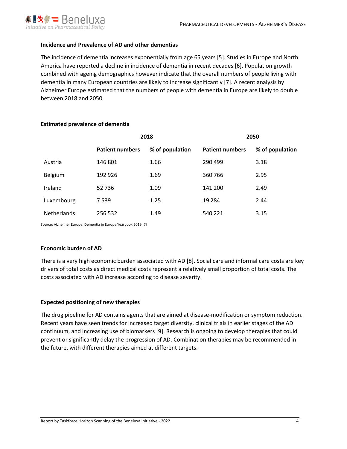

#### **Incidence and Prevalence of AD and other dementias**

The incidence of dementia increases exponentially from age 65 years [5]. Studies in Europe and North America have reported a decline in incidence of dementia in recent decades [6]. Population growth combined with ageing demographics however indicate that the overall numbers of people living with dementia in many European countries are likely to increase significantly [7]. A recent analysis by Alzheimer Europe estimated that the numbers of people with dementia in Europe are likely to double between 2018 and 2050.

|                    |                        | 2018            | 2050                   |                 |  |  |  |  |
|--------------------|------------------------|-----------------|------------------------|-----------------|--|--|--|--|
|                    | <b>Patient numbers</b> | % of population | <b>Patient numbers</b> | % of population |  |  |  |  |
| Austria            | 146 801                | 1.66            | 290 499                | 3.18            |  |  |  |  |
| Belgium            | 192 926                | 1.69            | 360 766                | 2.95            |  |  |  |  |
| Ireland            | 52 736                 | 1.09            | 141 200                | 2.49            |  |  |  |  |
| Luxembourg         | 7539                   | 1.25            | 19 2 84                | 2.44            |  |  |  |  |
| <b>Netherlands</b> | 256 532                | 1.49            | 540 221                | 3.15            |  |  |  |  |

#### **Estimated prevalence of dementia**

Source: Alzheimer Europe. Dementia in Europe Yearbook 2019 [7]

#### **Economic burden of AD**

There is a very high economic burden associated with AD [8]. Social care and informal care costs are key drivers of total costs as direct medical costs represent a relatively small proportion of total costs. The costs associated with AD increase according to disease severity.

#### **Expected positioning of new therapies**

The drug pipeline for AD contains agents that are aimed at disease-modification or symptom reduction. Recent years have seen trends for increased target diversity, clinical trials in earlier stages of the AD continuum, and increasing use of biomarkers [9]. Research is ongoing to develop therapies that could prevent or significantly delay the progression of AD. Combination therapies may be recommended in the future, with different therapies aimed at different targets.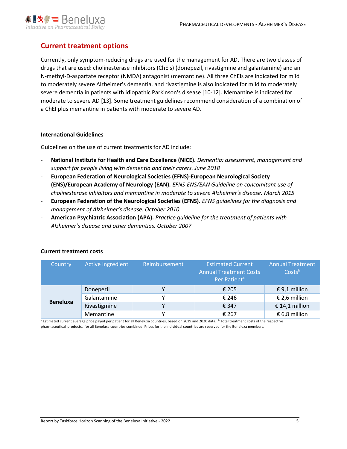

# **Current treatment options**

Currently, only symptom-reducing drugs are used for the management for AD. There are two classes of drugs that are used: cholinesterase inhibitors (ChEIs) (donepezil, rivastigmine and galantamine) and an N-methyl-D-aspartate receptor (NMDA) antagonist (memantine). All three ChEIs are indicated for mild to moderately severe Alzheimer's dementia, and rivastigmine is also indicated for mild to moderately severe dementia in patients with idiopathic Parkinson's disease [10-12]. Memantine is indicated for moderate to severe AD [13]. Some treatment guidelines recommend consideration of a combination of a ChEI plus memantine in patients with moderate to severe AD.

#### **International Guidelines**

Guidelines on the use of current treatments for AD include:

- **National Institute for Health and Care Excellence (NICE).** *Dementia: assessment, management and support for people living with dementia and their carers. June 2018*
- **European Federation of Neurological Societies (EFNS)-European Neurological Society (ENS)/European Academy of Neurology (EAN).** *EFNS-ENS/EAN Guideline on concomitant use of cholinesterase inhibitors and memantine in moderate to severe Alzheimer's disease. March 2015*
- **European Federation of the Neurological Societies (EFNS).** *EFNS guidelines for the diagnosis and management of Alzheimer's disease. October 2010*
- **American Psychiatric Association (APA).** *Practice guideline for the treatment of patients with Alzheimer's disease and other dementias. October 2007*

| Country         | <b>Active Ingredient</b> | Reimbursement | <b>Estimated Current</b><br><b>Annual Treatment Costs</b><br>Per Patient <sup>a</sup> | <b>Annual Treatment</b><br>Costsb |  |  |
|-----------------|--------------------------|---------------|---------------------------------------------------------------------------------------|-----------------------------------|--|--|
|                 | Donepezil                | v             | € 205                                                                                 | € 9,1 million                     |  |  |
|                 | Galantamine              | v             | € 246                                                                                 | € 2,6 million                     |  |  |
| <b>Beneluxa</b> | Rivastigmine             | v             | € 347                                                                                 | € 14,1 million                    |  |  |
|                 | Memantine                | v             | € 267                                                                                 | € 6,8 million                     |  |  |

#### **Current treatment costs**

Estimated current average price payed per patient for all Beneluxa countries, based on 2019 and 2020 data. **b** Total treatment costs of the respective pharmaceutical products, for all Beneluxa countries combined. Prices for the individual countries are reserved for the Beneluxa members.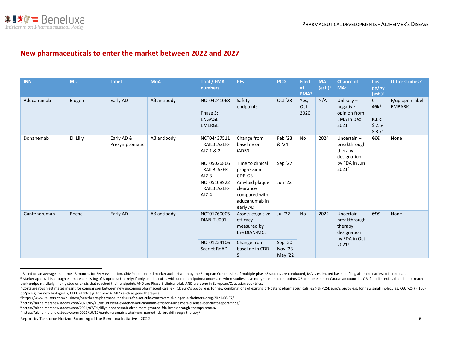

# **New pharmaceuticals to enter the market between 2022 and 2027**

| <b>INN</b>   | Mf.                     | Label          | <b>MoA</b>        | Trial / EMA<br>numbers                                    | <b>PEs</b>                                                                | <b>PCD</b>                           | <b>Filed</b><br>at<br>EMA? | <b>MA</b><br>(est.) <sup>1</sup> | <b>Chance of</b><br>MA <sup>2</sup>                                   | <b>Cost</b><br>pp/py<br>(est.) <sup>3</sup>                     | <b>Other studies?</b>       |      |
|--------------|-------------------------|----------------|-------------------|-----------------------------------------------------------|---------------------------------------------------------------------------|--------------------------------------|----------------------------|----------------------------------|-----------------------------------------------------------------------|-----------------------------------------------------------------|-----------------------------|------|
| Aducanumab   | Biogen                  | Early AD       | $A\beta$ antibody | NCT04241068<br>Phase 3:<br><b>ENGAGE</b><br><b>EMERGE</b> | Safety<br>endpoints                                                       | Oct '23                              | Yes,<br>Oct<br>2020        | N/A                              | Unlikely $-$<br>negative<br>opinion from<br><b>EMA</b> in Dec<br>2021 | €<br>46k <sup>4</sup><br>ICER:<br>$$2.5-$<br>8.3 k <sup>5</sup> | F/up open label:<br>EMBARK. |      |
| Donanemab    | Eli Lilly<br>Early AD & | Presymptomatic | $A\beta$ antibody | NCT04437511<br>TRAILBLAZER-<br>ALZ 1 & 2                  | Change from<br>baseline on<br>iADRS                                       | Feb '23<br>& '24                     | No                         | 2024                             | Uncertain $-$<br>breakthrough<br>therapy<br>designation               | €€€                                                             | None                        |      |
|              |                         |                |                   | NCT05026866<br>TRAILBLAZER-<br>ALZ <sub>3</sub>           | Time to clinical<br>progression<br>CDR-GS                                 | Sep '27                              |                            |                                  | by FDA in Jun<br>20216                                                |                                                                 |                             |      |
|              |                         |                |                   | NCT05108922<br>TRAILBLAZER-<br>ALZ <sub>4</sub>           | Amyloid plaque<br>clearance<br>compared with<br>aducanumab in<br>early AD | Jun '22                              |                            |                                  |                                                                       |                                                                 |                             |      |
| Gantenerumab | Roche                   | Early AD       | $A\beta$ antibody | NCT01760005<br>DIAN-TU001                                 | Assess cognitive<br>efficacy<br>measured by<br>the DIAN-MCE               | Jul '22                              | <b>No</b>                  | 2022                             | Uncertain $-$<br>therapy<br>designation                               | breakthrough<br>by FDA in Oct                                   | €€€                         | None |
|              |                         |                |                   | NCT01224106<br><b>Scarlet RoAD</b>                        | Change from<br>baseline in CDR-<br>S                                      | Sep '20<br><b>Nov '23</b><br>May '22 |                            |                                  | 20217                                                                 |                                                                 |                             |      |

<sup>&</sup>lt;sup>1</sup> Based on an average lead time 13 months for EMA evaluation, ChMP opinion and market authorisation by the European Commission. If multiple phase 3 studies are conducted, MA is estimated based in filing after the earlies <sup>2</sup> Market approval is a rough estimate consisting of 3 options: Unlikely: if only studies exists with unmet endpoints; uncertain: when studies have not yet reached endpoints OR are done in non-Caucasian countries OR if st their endpoint; Likely: if only studies exists that reached their endpoints AND are Phase 3 clinical trials AND are done in European/Caucasian countries.

<sup>&</sup>lt;sup>3</sup> Costs are rough estimates meant for comparison between new upcoming pharmaceuticals; €< 1k euro's pp/py, e.g. for new combinations of existing off-patent pharmaceuticals; €€ >1k <25k euro's pp/py e.g. for new small mo pp/py e.g. for new biologicals; €€€€ >100k e.g. for new ATMP's such as gene therapies.

<sup>4</sup> https://www.reuters.com/business/healthcare-pharmaceuticals/us-fda-set-rule-controversial-biogen-alzheimers-drug-2021-06-07/

<sup>5</sup> https://alzheimersnewstoday.com/2021/05/10/insufficient-evidence-aducanumab-efficacy-alzheimers-disease-icer-draft-report-finds/

<sup>6</sup> https://alzheimersnewstoday.com/2021/07/01/lillys-donanemab-alzheimers-granted-fda-breakthrough-therapy-status/

<sup>7</sup> https://alzheimersnewstoday.com/2021/10/12/gantenerumab-alzheimers-named-fda-breakthrough-therapy/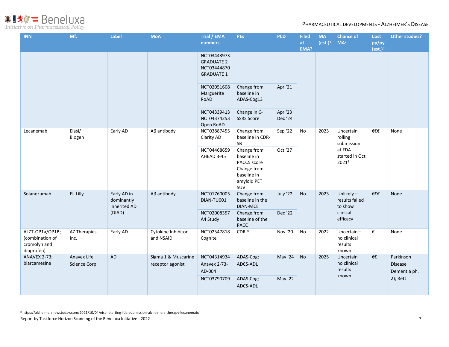$\mathbf{H} \otimes \mathbf{W} = \text{Bene} \otimes \mathbf{W}$  Initiative on Pharmaceutical Policy

| <b>INN</b>                                                       | Mf.                          | Label                                               | <b>MoA</b>                              | Trial / EMA<br>numbers                                               | <b>PEs</b>                                                                                     | <b>PCD</b>         | <b>Filed</b><br>at<br>EMA? | <b>MA</b><br>(est.) <sup>1</sup> | <b>Chance of</b><br>MA <sup>2</sup>                                         | <b>Cost</b><br>pp/py<br>(est.) <sup>3</sup> | <b>Other studies?</b>                       |
|------------------------------------------------------------------|------------------------------|-----------------------------------------------------|-----------------------------------------|----------------------------------------------------------------------|------------------------------------------------------------------------------------------------|--------------------|----------------------------|----------------------------------|-----------------------------------------------------------------------------|---------------------------------------------|---------------------------------------------|
|                                                                  |                              |                                                     |                                         | NCT03443973<br><b>GRADUATE 2</b><br>NCT03444870<br><b>GRADUATE 1</b> |                                                                                                |                    |                            |                                  |                                                                             |                                             |                                             |
|                                                                  |                              |                                                     |                                         | NCT02051608<br>Marguerite<br>RoAD                                    | Change from<br>baseline in<br>ADAS-Cog13                                                       | Apr '21            |                            |                                  |                                                                             |                                             |                                             |
|                                                                  |                              |                                                     |                                         | NCT04339413<br>NCT04374253<br>Open RoAD                              | Change in C-<br><b>SSRS Score</b>                                                              | Apr '23<br>Dec '24 |                            |                                  |                                                                             |                                             |                                             |
| Lecanemab                                                        | Eiasi/<br>Biogen             | Early AD                                            | $A\beta$ antibody                       | NCT03887455<br>Clarity AD                                            | Change from<br>baseline in CDR-<br><b>SB</b>                                                   | Sep '22            | No                         | 2023                             | Uncertain $-$<br>rolling<br>submission<br>at FDA<br>started in Oct<br>20218 | €€€                                         | None                                        |
|                                                                  |                              |                                                     |                                         | NCT04468659<br>AHEAD 3-45                                            | Change from<br>baseline in<br>PACC5 score<br>Change from<br>baseline in<br>amyloid PET<br>SUVr | Oct '27            |                            |                                  |                                                                             |                                             |                                             |
| Solanezumab                                                      | Eli Lilly                    | Early AD in<br>dominantly<br>inherited AD<br>(DIAD) | $A\beta$ antibody                       | NCT01760005<br>DIAN-TU001                                            | Change from<br>baseline in the<br>DIAN-MCE                                                     | July '22           | No                         | 2023                             | Unlikely $-$<br>results failed<br>to show                                   | €€€                                         | <b>None</b>                                 |
|                                                                  |                              |                                                     |                                         | NCT02008357<br>A4 Study                                              | Change from<br>baseline of the<br><b>PACC</b>                                                  | Dec '22            |                            |                                  | clinical<br>efficacy                                                        |                                             |                                             |
| ALZT-OP1a/OP1B;<br>(combination of<br>cromolyn and<br>ibuprofen) | AZ Therapies<br>Inc.         | Early AD                                            | Cytokine Inhibitor<br>and NSAID         | NCT02547818<br>Cognite                                               | CDR-S                                                                                          | Nov '20            | No                         | 2022                             | Uncertain-<br>no clinical<br>results<br>known                               | €                                           | None                                        |
| ANAVEX 2-73;<br>blarcamesine                                     | Anavex Life<br>Science Corp. | AD                                                  | Sigma 1 & Muscarine<br>receptor agonist | NCT04314934<br>Anavex 2-73-<br>AD-004                                | ADAS-Cog;<br>ADCS-ADL                                                                          | May '24            | No                         | 2025                             | Uncertain-<br>no clinical<br>results                                        | €€                                          | Parkinson<br><b>Disease</b><br>Dementia ph. |
|                                                                  |                              |                                                     |                                         | NCT03790709                                                          | ADAS-Cog;<br>ADCS-ADL                                                                          | May '22            |                            |                                  | known                                                                       |                                             | $2)$ ; Rett                                 |

<sup>8</sup> https://alzheimersnewstoday.com/2021/10/04/eisai-starting-fda-submission-alzheimers-therapy-lecanemab/

Report by Taskforce Horizon Scanning of the Beneluxa Initiative - 2022 7 7 7 7 7 7 7 7 8 7 7 7 7 7 7 7 7 8 7 7 8 7 7 7 7 8 7 7 7 7 8 7 7 7 7 7 8 7 7 7 7 8 7 7 7 7 7 8 7 7 7 7 8 7 7 7 7 8 7 7 7 7 7 8 7 7 7 7 8 7 7 7 7 8 7 7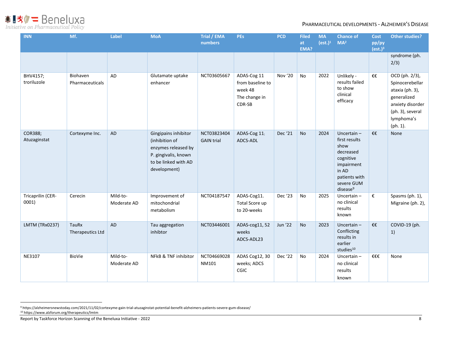**●■「大学」 BenelUXA**<br>Initiative on Pharmaceutical Policy

| <b>INN</b>                 | Mf.                         | Label                   | <b>MoA</b>                                                                                                                    | Trial / EMA<br>numbers           | <b>PEs</b>                                                            | <b>PCD</b>     | <b>Filed</b><br>at<br>EMA? | <b>MA</b><br>(est.) <sup>1</sup> | <b>Chance of</b><br>MA <sup>2</sup>                                                                                                            | <b>Cost</b><br>pp/py<br>(est.) <sup>3</sup> | <b>Other studies?</b>                                                                                                                 |
|----------------------------|-----------------------------|-------------------------|-------------------------------------------------------------------------------------------------------------------------------|----------------------------------|-----------------------------------------------------------------------|----------------|----------------------------|----------------------------------|------------------------------------------------------------------------------------------------------------------------------------------------|---------------------------------------------|---------------------------------------------------------------------------------------------------------------------------------------|
|                            |                             |                         |                                                                                                                               |                                  |                                                                       |                |                            |                                  |                                                                                                                                                |                                             | syndrome (ph.<br>2/3)                                                                                                                 |
| BHV4157;<br>troriluzole    | Biohaven<br>Pharmaceuticals | AD                      | Glutamate uptake<br>enhancer                                                                                                  | NCT03605667                      | ADAS-Cog 11<br>from baseline to<br>week 48<br>The change in<br>CDR-SB | Nov '20        | <b>No</b>                  | 2022                             | Unlikely -<br>results failed<br>to show<br>clinical<br>efficacy                                                                                | €€                                          | OCD (ph. 2/3),<br>Spinocerebellar<br>ataxia (ph. 3),<br>generalized<br>anxiety disorder<br>(ph. 3), several<br>lymphoma's<br>(ph. 1). |
| COR388;<br>Atuzaginstat    | Cortexyme Inc.              | <b>AD</b>               | Gingipains inhibitor<br>(inhibition of<br>enzymes released by<br>P. gingivalis, known<br>to be linked with AD<br>development) | NCT03823404<br><b>GAIN trial</b> | ADAS-Cog 11;<br>ADCS-ADL                                              | Dec '21        | <b>No</b>                  | 2024                             | Uncertain $-$<br>first results<br>show<br>decreased<br>cognitive<br>impairment<br>in AD<br>patients with<br>severe GUM<br>disease <sup>9</sup> | $f \in$                                     | None                                                                                                                                  |
| Tricaprilin (CER-<br>0001) | Cerecin                     | Mild-to-<br>Moderate AD | Improvement of<br>mitochondrial<br>metabolism                                                                                 | NCT04187547                      | ADAS-Cog11.<br>Total Score up<br>to 20-weeks                          | Dec '23        | <b>No</b>                  | 2025                             | Uncertain-<br>no clinical<br>results<br>known                                                                                                  | €                                           | Spasms (ph. 1),<br>Migraine (ph. 2),                                                                                                  |
| <b>LMTM (TRx0237)</b>      | TauRx<br>Therapeutics Ltd   | <b>AD</b>               | Tau aggregation<br>inhibtor                                                                                                   | NCT03446001                      | ADAS-cog11, 52<br>weeks<br>ADCS-ADL23                                 | <b>Jun '22</b> | <b>No</b>                  | 2023                             | Uncertain $-$<br>Conflicting<br>results in<br>earlier<br>studies <sup>10</sup>                                                                 | €€                                          | COVID-19 (ph.<br>1)                                                                                                                   |
| NE3107                     | BioVie                      | Mild-to-<br>Moderate AD | NFkB & TNF inhibitor                                                                                                          | NCT04669028<br>NM101             | ADAS Cog12, 30<br>weeks; ADCS<br>CGIC                                 | Dec '22        | No                         | 2024                             | Uncertain $-$<br>no clinical<br>results<br>known                                                                                               | €€€                                         | None                                                                                                                                  |

Report by Taskforce Horizon Scanning of the Beneluxa Initiative - 2022 8

<sup>9</sup> https://alzheimersnewstoday.com/2021/11/02/cortexyme-gain-trial-atuzaginstat-potential-benefit-alzheimers-patients-severe-gum-disease/ <sup>10</sup> https://www.alzforum.org/therapeutics/lmtm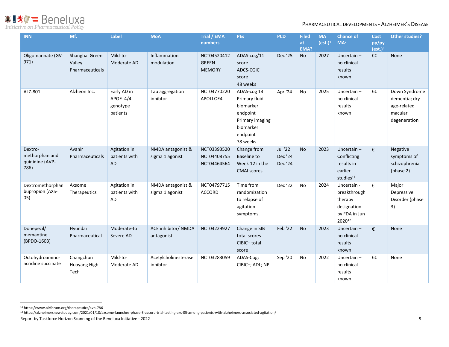# **●■「大学」 BenelUXA**<br>Initiative on Pharmaceutical Policy

#### PHARMACEUTICAL DEVELOPMENTS - ALZHEIMER'S DISEASE

| <b>INN</b>                                           | Mf.                                         | Label                                           | <b>MoA</b>                           | Trial / EMA<br>numbers                       | <b>PEs</b>                                                                                                    | <b>PCD</b>                    | <b>Filed</b><br>at<br>EMA? | <b>MA</b><br>(est.) <sup>1</sup> | <b>Chance of</b><br>MA <sup>2</sup>                                              | <b>Cost</b><br>pp/py<br>(ext.) <sup>3</sup> | <b>Other studies?</b>                                                    |
|------------------------------------------------------|---------------------------------------------|-------------------------------------------------|--------------------------------------|----------------------------------------------|---------------------------------------------------------------------------------------------------------------|-------------------------------|----------------------------|----------------------------------|----------------------------------------------------------------------------------|---------------------------------------------|--------------------------------------------------------------------------|
| Oligomannate (GV-<br>971)                            | Shanghai Green<br>Valley<br>Pharmaceuticals | Mild-to-<br>Moderate AD                         | Inflammation<br>modulation           | NCT04520412<br><b>GREEN</b><br><b>MEMORY</b> | ADAS-cog/11<br>score<br>ADCS-CGIC<br>score<br>48 weeks                                                        | Dec '25                       | <b>No</b>                  | 2027                             | Uncertain $-$<br>no clinical<br>results<br>known                                 | €€                                          | <b>None</b>                                                              |
| ALZ-801                                              | Alzheon Inc.                                | Early AD in<br>APOE 4/4<br>genotype<br>patients | Tau aggregation<br>inhibtor          | NCT04770220<br>APOLLOE4                      | ADAS-cog 13<br>Primary fluid<br>biomarker<br>endpoint<br>Primary imaging<br>biomarker<br>endpoint<br>78 weeks | Apr '24                       | <b>No</b>                  | 2025                             | Uncertain $-$<br>no clinical<br>results<br>known                                 | €€                                          | Down Syndrome<br>dementia; dry<br>age-related<br>macular<br>degeneration |
| Dextro-<br>methorphan and<br>quinidine (AVP-<br>786) | Avanir<br>Pharmaceuticals                   | Agitation in<br>patients with<br>AD             | NMDA antagonist &<br>sigma 1 agonist | NCT03393520<br>NCT04408755<br>NCT04464564    | Change from<br><b>Baseline to</b><br>Week 12 in the<br><b>CMAI</b> scores                                     | Jul '22<br>Dec '24<br>Dec '24 | <b>No</b>                  | 2023                             | Uncertain $-$<br>Conflicting<br>results in<br>earlier<br>studies <sup>11</sup>   | €                                           | Negative<br>symptoms of<br>schizophrenia<br>(phase 2)                    |
| Dextromethorphan<br>bupropion (AXS-<br>05)           | Axsome<br>Therapeutics                      | Agitation in<br>patients with<br>AD             | NMDA antagonist &<br>sigma 1 agonist | NCT04797715<br><b>ACCORD</b>                 | Time from<br>randomization<br>to relapse of<br>agitation<br>symptoms.                                         | Dec '22                       | <b>No</b>                  | 2024                             | Uncertain -<br>breakthrough<br>therapy<br>designation<br>by FDA in Jun<br>202012 | €                                           | Major<br>Depressive<br>Disorder (phase<br>3)                             |
| Donepezil/<br>memantine<br>(BPDO-1603)               | Hyundai<br>Pharmaceutical                   | Moderate-to<br>Severe AD                        | ACE inhibitor/ NMDA<br>antagonist    | NCT04229927                                  | Change in SIB<br>total scores<br>CIBIC+ total<br>score                                                        | Feb '22                       | <b>No</b>                  | 2023                             | Uncertain $-$<br>no clinical<br>results<br>known                                 | €                                           | None                                                                     |
| Octohydroamino-<br>acridine succinate                | Changchun<br>Huayang High-<br>Tech          | Mild-to-<br>Moderate AD                         | Acetylcholinesterase<br>inhibtor     | NCT03283059                                  | ADAS-Cog;<br>CIBIC+; ADL; NPI                                                                                 | Sep '20                       | No                         | 2022                             | Uncertain $-$<br>no clinical<br>results<br>known                                 | €€                                          | None                                                                     |

<sup>11</sup> https://www.alzforum.org/therapeutics/avp-786

<sup>12</sup> https://alzheimersnewstoday.com/2021/01/18/axsome-launches-phase-3-accord-trial-testing-axs-05-among-patients-with-alzheimers-associated-agitation/

Report by Taskforce Horizon Scanning of the Beneluxa Initiative - 2022 9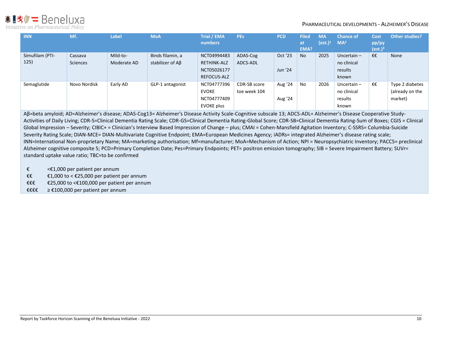※■次ク=Beneluxa Initiative on Pharmaceutical Policy

#### PHARMACEUTICAL DEVELOPMENTS - ALZHEIMER'S DISEASE

| <b>INN</b>      | Mf.             | Label       | <b>MoA</b>       | <b>Trial / EMA</b><br>numbers | <b>PEs</b>   | <b>PCD</b> | <b>Filed</b><br>at<br>EMA? | <b>MA</b><br>(est.) $^1$ | <b>Chance of</b><br>MA <sup>2</sup> | Cost<br>pp/py<br>(est.) <sup>3</sup> | <b>Other studies?</b> |
|-----------------|-----------------|-------------|------------------|-------------------------------|--------------|------------|----------------------------|--------------------------|-------------------------------------|--------------------------------------|-----------------------|
| Simufilam (PTI- | Cassava         | Mild-to-    | Binds filamin, a | NCT04994483                   | ADAS-Cog     | Oct '23    | <b>No</b>                  | 2025                     | Uncertain $-$                       | €€                                   | None                  |
| 125)            | <b>Sciences</b> | Moderate AD | stabilizer of AB | <b>RETHINK-ALZ</b>            | ADCS-ADL     |            |                            |                          | no clinical                         |                                      |                       |
|                 |                 |             |                  | NCT05026177                   |              | Jun '24    |                            |                          | results                             |                                      |                       |
|                 |                 |             |                  | REFOCUS-ALZ                   |              |            |                            |                          | known                               |                                      |                       |
| Semaglutide     | Novo Nordisk    | Early AD    | GLP-1 antagonist | NCT04777396                   | CDR-SB score | Aug '24    | No                         | 2026                     | Uncertain $-$                       | €€                                   | Type 2 diabetes       |
|                 |                 |             |                  | <b>EVOKE</b>                  | toe week 104 |            |                            |                          | no clinical                         |                                      | (already on the       |
|                 |                 |             |                  | NCT04777409                   |              | Aug '24    |                            |                          | results                             |                                      | market)               |
|                 |                 |             |                  | EVOKE plus                    |              |            |                            |                          | known                               |                                      |                       |

Aβ=beta amyloid; AD=Alzheimer's disease; ADAS-Cog13= Alzheimer's Disease Activity Scale-Cognitive subscale 13; ADCS-ADL= Alzheimer's Disease Cooperative Study-Activities of Daily Living; CDR-S=Clinical Dementia Rating Scale; CDR-GS=Clinical Dementia Rating-Global Score; CDR-SB=Clinical Dementia Rating-Sum of Boxes; CGIS = Clinical Global Impression – Severity; CIBIC+ = Clinician's Interview Based Impression of Change – plus; CMAI = Cohen-Mansfield Agitation Inventory; C-SSRS= Columbia-Suicide Severity Rating Scale; DIAN-MCE= DIAN-Multivariate Cognitive Endpoint; EMA=European Medicines Agency; iADRs= integrated Alzheimer's disease rating scale; INN=International Non-proprietary Name; MA=marketing authorisation; Mf=manufacturer; MoA=Mechanism of Action; NPI = Neuropsychiatric Inventory; PACC5= preclinical Alzheimer cognitive composite 5; PCD=Primary Completion Date; Pes=Primary Endpoints; PET= positron emission tomography; SIB = Severe Impairment Battery; SUVr= standard uptake value ratio; TBC=to be confirmed

- €  $\leftarrow$  <€1,000 per patient per annum
- €€  $£1,000$  to < £25,000 per patient per annum
- €€€ €25,000 to <€100,000 per patient per annum
- €€€€ ≥ €100,000 per patient per annum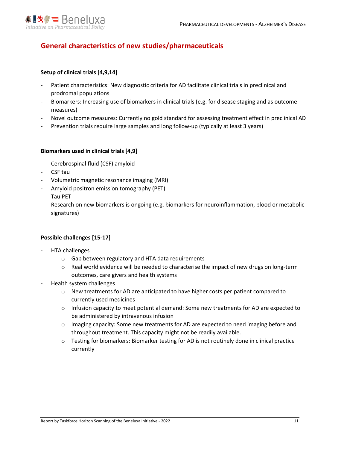

# **General characteristics of new studies/pharmaceuticals**

#### **Setup of clinical trials [4,9,14]**

- Patient characteristics: New diagnostic criteria for AD facilitate clinical trials in preclinical and prodromal populations
- Biomarkers: Increasing use of biomarkers in clinical trials (e.g. for disease staging and as outcome measures)
- Novel outcome measures: Currently no gold standard for assessing treatment effect in preclinical AD
- Prevention trials require large samples and long follow-up (typically at least 3 years)

#### **Biomarkers used in clinical trials [4,9]**

- Cerebrospinal fluid (CSF) amyloid
- CSF tau
- Volumetric magnetic resonance imaging (MRI)
- Amyloid positron emission tomography (PET)
- Tau PET
- Research on new biomarkers is ongoing (e.g. biomarkers for neuroinflammation, blood or metabolic signatures)

#### **Possible challenges [15-17]**

- HTA challenges
	- o Gap between regulatory and HTA data requirements
	- o Real world evidence will be needed to characterise the impact of new drugs on long-term outcomes, care givers and health systems
- Health system challenges
	- $\circ$  New treatments for AD are anticipated to have higher costs per patient compared to currently used medicines
	- $\circ$  Infusion capacity to meet potential demand: Some new treatments for AD are expected to be administered by intravenous infusion
	- $\circ$  Imaging capacity: Some new treatments for AD are expected to need imaging before and throughout treatment. This capacity might not be readily available.
	- $\circ$  Testing for biomarkers: Biomarker testing for AD is not routinely done in clinical practice currently